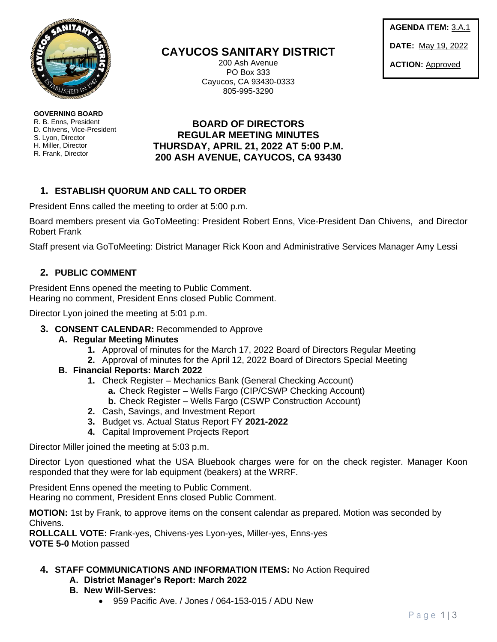

**GOVERNING BOARD**  R. B. Enns, President D. Chivens, Vice-President S. Lyon, Director H. Miller, Director R. Frank, Director

# **CAYUCOS SANITARY DISTRICT**

200 Ash Avenue PO Box 333 Cayucos, CA 93430-0333 805-995-3290

**AGENDA ITEM:** 3.A.1 **DATE:** May 19, 2022

**ACTION:** Approved

## **BOARD OF DIRECTORS REGULAR MEETING MINUTES THURSDAY, APRIL 21, 2022 AT 5:00 P.M. 200 ASH AVENUE, CAYUCOS, CA 93430**

# **1. ESTABLISH QUORUM AND CALL TO ORDER**

President Enns called the meeting to order at 5:00 p.m.

Board members present via GoToMeeting: President Robert Enns, Vice-President Dan Chivens, and Director Robert Frank

Staff present via GoToMeeting: District Manager Rick Koon and Administrative Services Manager Amy Lessi

### **2. PUBLIC COMMENT**

President Enns opened the meeting to Public Comment. Hearing no comment, President Enns closed Public Comment.

Director Lyon joined the meeting at 5:01 p.m.

#### **3. CONSENT CALENDAR:** Recommended to Approve

- **A. Regular Meeting Minutes**
	- **1.** Approval of minutes for the March 17, 2022 Board of Directors Regular Meeting
	- **2.** Approval of minutes for the April 12, 2022 Board of Directors Special Meeting
- **B. Financial Reports: March 2022**
	- **1.** Check Register Mechanics Bank (General Checking Account)
		- **a.** Check Register Wells Fargo (CIP/CSWP Checking Account)
		- **b.** Check Register Wells Fargo (CSWP Construction Account)
	- **2.** Cash, Savings, and Investment Report
	- **3.** Budget vs. Actual Status Report FY **2021-2022**
	- **4.** Capital Improvement Projects Report

Director Miller joined the meeting at 5:03 p.m.

Director Lyon questioned what the USA Bluebook charges were for on the check register. Manager Koon responded that they were for lab equipment (beakers) at the WRRF.

President Enns opened the meeting to Public Comment. Hearing no comment, President Enns closed Public Comment.

**MOTION:** 1st by Frank, to approve items on the consent calendar as prepared. Motion was seconded by Chivens.

**ROLLCALL VOTE:** Frank-yes, Chivens-yes Lyon-yes, Miller-yes, Enns-yes **VOTE 5-0** Motion passed

**4. STAFF COMMUNICATIONS AND INFORMATION ITEMS:** No Action Required

#### **A. District Manager's Report: March 2022**

- **B. New Will-Serves:**
	- 959 Pacific Ave. / Jones / 064-153-015 / ADU New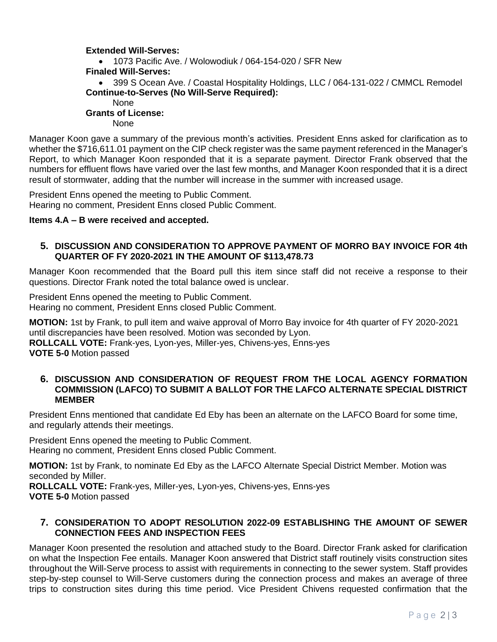### **Extended Will-Serves:**

• 1073 Pacific Ave. / Wolowodiuk / 064-154-020 / SFR New  **Finaled Will-Serves:** • 399 S Ocean Ave. / Coastal Hospitality Holdings, LLC / 064-131-022 / CMMCL Remodel  **Continue-to-Serves (No Will-Serve Required):** None  **Grants of License:** None

Manager Koon gave a summary of the previous month's activities. President Enns asked for clarification as to whether the \$716,611.01 payment on the CIP check register was the same payment referenced in the Manager's Report, to which Manager Koon responded that it is a separate payment. Director Frank observed that the numbers for effluent flows have varied over the last few months, and Manager Koon responded that it is a direct result of stormwater, adding that the number will increase in the summer with increased usage.

President Enns opened the meeting to Public Comment. Hearing no comment, President Enns closed Public Comment.

#### **Items 4.A – B were received and accepted.**

#### **5. DISCUSSION AND CONSIDERATION TO APPROVE PAYMENT OF MORRO BAY INVOICE FOR 4th QUARTER OF FY 2020-2021 IN THE AMOUNT OF \$113,478.73**

Manager Koon recommended that the Board pull this item since staff did not receive a response to their questions. Director Frank noted the total balance owed is unclear.

President Enns opened the meeting to Public Comment. Hearing no comment, President Enns closed Public Comment.

**MOTION:** 1st by Frank, to pull item and waive approval of Morro Bay invoice for 4th quarter of FY 2020-2021 until discrepancies have been resolved. Motion was seconded by Lyon. **ROLLCALL VOTE:** Frank-yes, Lyon-yes, Miller-yes, Chivens-yes, Enns-yes

**VOTE 5-0** Motion passed

#### **6. DISCUSSION AND CONSIDERATION OF REQUEST FROM THE LOCAL AGENCY FORMATION COMMISSION (LAFCO) TO SUBMIT A BALLOT FOR THE LAFCO ALTERNATE SPECIAL DISTRICT MEMBER**

President Enns mentioned that candidate Ed Eby has been an alternate on the LAFCO Board for some time, and regularly attends their meetings.

President Enns opened the meeting to Public Comment. Hearing no comment, President Enns closed Public Comment.

**MOTION:** 1st by Frank, to nominate Ed Eby as the LAFCO Alternate Special District Member. Motion was seconded by Miller.

**ROLLCALL VOTE:** Frank-yes, Miller-yes, Lyon-yes, Chivens-yes, Enns-yes **VOTE 5-0** Motion passed

#### **7. CONSIDERATION TO ADOPT RESOLUTION 2022-09 ESTABLISHING THE AMOUNT OF SEWER CONNECTION FEES AND INSPECTION FEES**

Manager Koon presented the resolution and attached study to the Board. Director Frank asked for clarification on what the Inspection Fee entails. Manager Koon answered that District staff routinely visits construction sites throughout the Will-Serve process to assist with requirements in connecting to the sewer system. Staff provides step-by-step counsel to Will-Serve customers during the connection process and makes an average of three trips to construction sites during this time period. Vice President Chivens requested confirmation that the